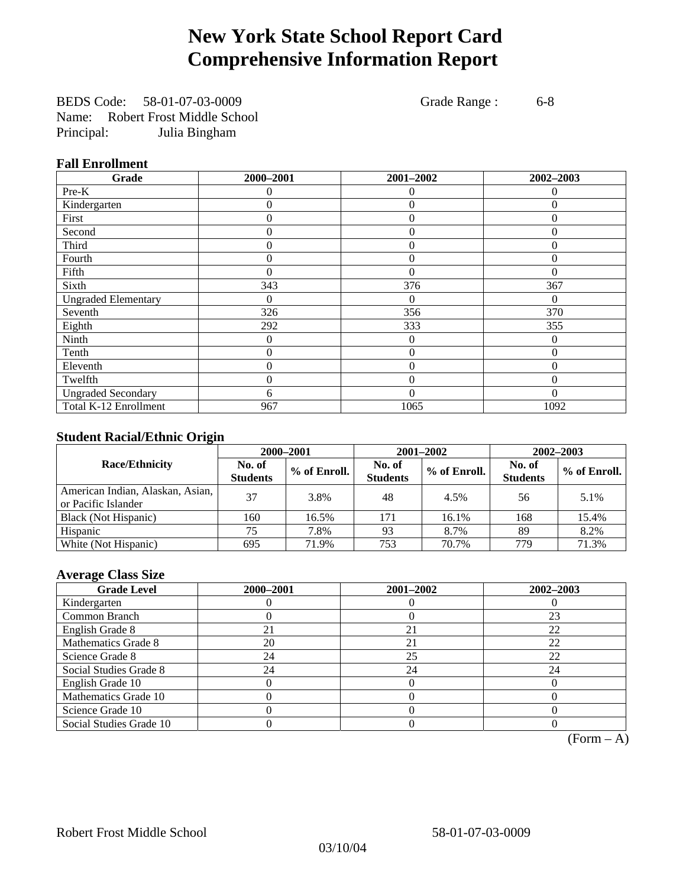# **New York State School Report Card Comprehensive Information Report**

BEDS Code: 58-01-07-03-0009 Grade Range : 6-8 Name: Robert Frost Middle School Principal: Julia Bingham

### **Fall Enrollment**

| Grade                      | 2000-2001 | 2001-2002      | 2002-2003 |
|----------------------------|-----------|----------------|-----------|
| Pre-K                      | 0         | $\theta$       | $\Omega$  |
| Kindergarten               | 0         | $\theta$       | 0         |
| First                      | 0         | 0              | 0         |
| Second                     | 0         | $\theta$       | $\Omega$  |
| Third                      | 0         | 0              | 0         |
| Fourth                     | 0         | $\Omega$       | $\Omega$  |
| Fifth                      | 0         | $\Omega$       | $\Omega$  |
| Sixth                      | 343       | 376            | 367       |
| <b>Ungraded Elementary</b> | 0         | $\Omega$       | 0         |
| Seventh                    | 326       | 356            | 370       |
| Eighth                     | 292       | 333            | 355       |
| Ninth                      | 0         | $\theta$       | $\Omega$  |
| Tenth                      | 0         | $\theta$       | $\theta$  |
| Eleventh                   | 0         | $\overline{0}$ | 0         |
| Twelfth                    | 0         | $\overline{0}$ | $\Omega$  |
| <b>Ungraded Secondary</b>  | 6         | $\theta$       | $\Omega$  |
| Total K-12 Enrollment      | 967       | 1065           | 1092      |

### **Student Racial/Ethnic Origin**

|                                                         |                           | 2000-2001<br>2001-2002<br>2002-2003 |                           |              |                           |                |
|---------------------------------------------------------|---------------------------|-------------------------------------|---------------------------|--------------|---------------------------|----------------|
| <b>Race/Ethnicity</b>                                   | No. of<br><b>Students</b> | % of Enroll.                        | No. of<br><b>Students</b> | % of Enroll. | No. of<br><b>Students</b> | $%$ of Enroll. |
| American Indian, Alaskan, Asian,<br>or Pacific Islander | 37                        | 3.8%                                | 48                        | 4.5%         | 56                        | 5.1%           |
| Black (Not Hispanic)                                    | 160                       | 16.5%                               | 171                       | 16.1%        | 168                       | 15.4%          |
| Hispanic                                                | 75                        | 7.8%                                | 93                        | 8.7%         | 89                        | 8.2%           |
| White (Not Hispanic)                                    | 695                       | 71.9%                               | 753                       | 70.7%        | 779                       | 71.3%          |

### **Average Class Size**

| <b>Grade Level</b>      | 2000-2001 | 2001-2002 | 2002-2003 |
|-------------------------|-----------|-----------|-----------|
| Kindergarten            |           |           |           |
| Common Branch           |           |           | 23        |
| English Grade 8         | 21        | 21        | 22        |
| Mathematics Grade 8     | 20        | 21        | 22        |
| Science Grade 8         | 24        | 25        | 22        |
| Social Studies Grade 8  | 24        | 24        | 24        |
| English Grade 10        |           |           |           |
| Mathematics Grade 10    |           |           |           |
| Science Grade 10        |           |           |           |
| Social Studies Grade 10 |           |           |           |

 $(Form - A)$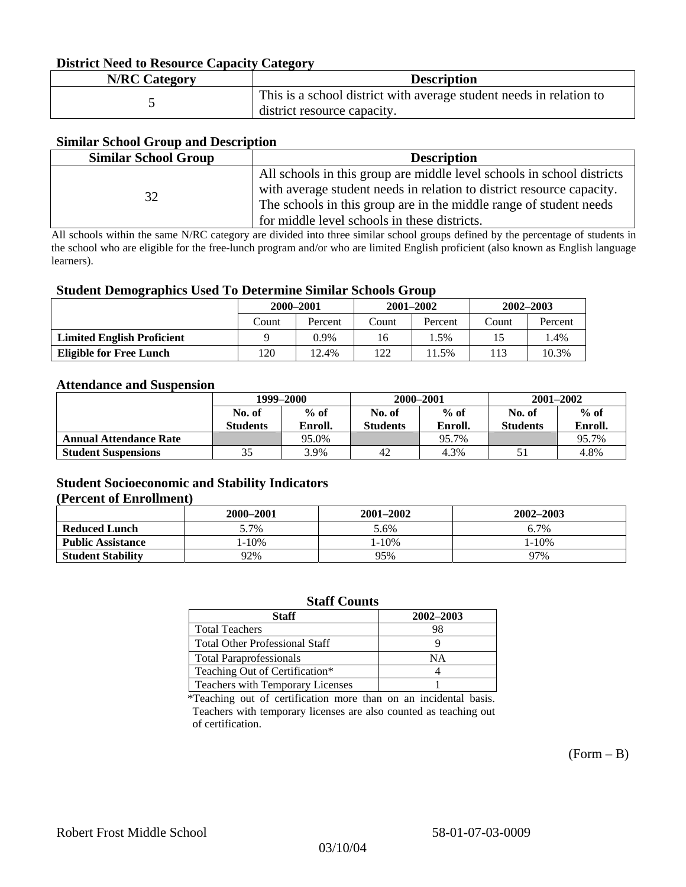#### **District Need to Resource Capacity Category**

| <b>N/RC Category</b> | <b>Description</b>                                                                                 |
|----------------------|----------------------------------------------------------------------------------------------------|
|                      | This is a school district with average student needs in relation to<br>district resource capacity. |

#### **Similar School Group and Description**

| <b>Similar School Group</b> | <b>Description</b>                                                     |
|-----------------------------|------------------------------------------------------------------------|
|                             | All schools in this group are middle level schools in school districts |
| 32                          | with average student needs in relation to district resource capacity.  |
|                             | The schools in this group are in the middle range of student needs     |
|                             | for middle level schools in these districts.                           |

All schools within the same N/RC category are divided into three similar school groups defined by the percentage of students in the school who are eligible for the free-lunch program and/or who are limited English proficient (also known as English language learners).

#### **Student Demographics Used To Determine Similar Schools Group**

| . .                               | 2000-2001 |         |       | $2001 - 2002$ | $2002 - 2003$ |         |
|-----------------------------------|-----------|---------|-------|---------------|---------------|---------|
|                                   | Count     | Percent | Count | Percent       | Count         | Percent |
| <b>Limited English Proficient</b> |           | 0.9%    | 16    | $1.5\%$       | 15            | l.4%    |
| <b>Eligible for Free Lunch</b>    | 120       | 12.4%   | 122   | 1.5%          | 113           | 10.3%   |

#### **Attendance and Suspension**

|                               | 1999–2000       |         |                 | 2000-2001 | $2001 - 2002$   |         |
|-------------------------------|-----------------|---------|-----------------|-----------|-----------------|---------|
|                               | No. of          | $%$ of  | No. of          | $%$ of    | No. of          | $%$ of  |
|                               | <b>Students</b> | Enroll. | <b>Students</b> | Enroll.   | <b>Students</b> | Enroll. |
| <b>Annual Attendance Rate</b> |                 | 95.0%   |                 | 95.7%     |                 | 95.7%   |
| <b>Student Suspensions</b>    | 35              | 3.9%    | 42              | 4.3%      |                 | 4.8%    |

#### **Student Socioeconomic and Stability Indicators (Percent of Enrollment)**

|                          | 2000-2001  | 2001–2002  | 2002-2003 |
|--------------------------|------------|------------|-----------|
| <b>Reduced Lunch</b>     | 5.7%       | 5.6%       | 6.7%      |
| <b>Public Assistance</b> | $1 - 10\%$ | $1 - 10\%$ | $-10%$    |
| <b>Student Stability</b> | 92%        | 95%        | 97%       |

#### **Staff Counts**

| Staff                                 | 2002-2003 |
|---------------------------------------|-----------|
| <b>Total Teachers</b>                 | 98        |
| <b>Total Other Professional Staff</b> |           |
| <b>Total Paraprofessionals</b>        | NΑ        |
| Teaching Out of Certification*        |           |
| Teachers with Temporary Licenses      |           |

\*Teaching out of certification more than on an incidental basis. Teachers with temporary licenses are also counted as teaching out of certification.

 $(Form - B)$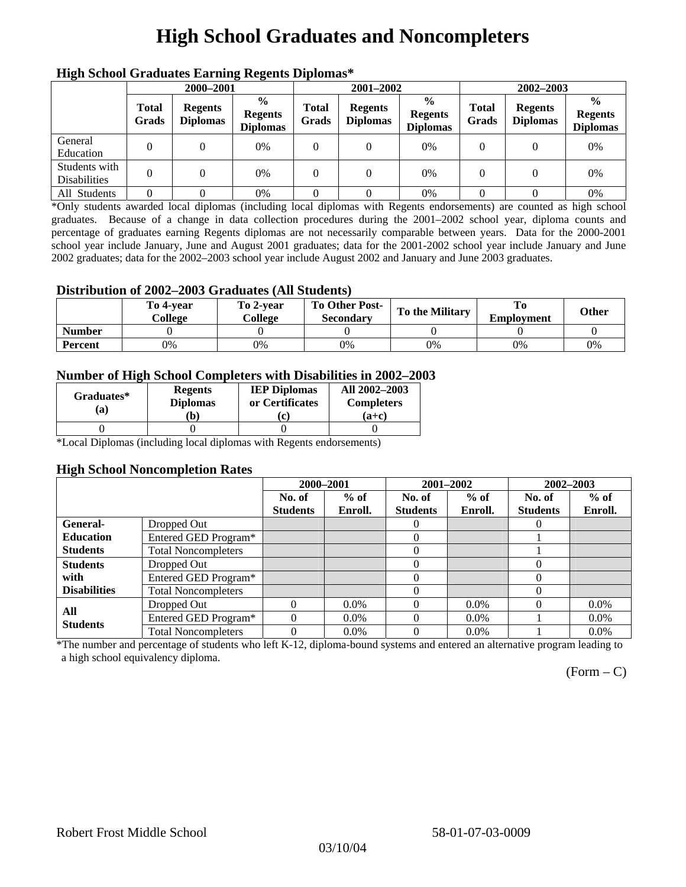# **High School Graduates and Noncompleters**

| mgn benoor Grauuates Larming Regents Diplomas |                       |                                   |                                                    |                       |                                   |                                                    |                       |                                   |                                                    |  |
|-----------------------------------------------|-----------------------|-----------------------------------|----------------------------------------------------|-----------------------|-----------------------------------|----------------------------------------------------|-----------------------|-----------------------------------|----------------------------------------------------|--|
|                                               | 2000-2001             |                                   |                                                    |                       | 2001-2002                         |                                                    |                       | $2002 - 2003$                     |                                                    |  |
|                                               | <b>Total</b><br>Grads | <b>Regents</b><br><b>Diplomas</b> | $\frac{0}{0}$<br><b>Regents</b><br><b>Diplomas</b> | <b>Total</b><br>Grads | <b>Regents</b><br><b>Diplomas</b> | $\frac{0}{0}$<br><b>Regents</b><br><b>Diplomas</b> | <b>Total</b><br>Grads | <b>Regents</b><br><b>Diplomas</b> | $\frac{0}{0}$<br><b>Regents</b><br><b>Diplomas</b> |  |
| General<br>Education                          | $\Omega$              |                                   | 0%                                                 | 0                     |                                   | 0%                                                 |                       |                                   | 0%                                                 |  |
| Students with<br><b>Disabilities</b>          |                       |                                   | 0%                                                 | 0                     | $\Omega$                          | 0%                                                 | $\theta$              |                                   | 0%                                                 |  |
| All Students                                  | $\Omega$              |                                   | 0%                                                 |                       |                                   | 0%                                                 |                       |                                   | 0%                                                 |  |

### **High School Graduates Earning Regents Diplomas\***

\*Only students awarded local diplomas (including local diplomas with Regents endorsements) are counted as high school graduates. Because of a change in data collection procedures during the 2001–2002 school year, diploma counts and percentage of graduates earning Regents diplomas are not necessarily comparable between years. Data for the 2000-2001 school year include January, June and August 2001 graduates; data for the 2001-2002 school year include January and June 2002 graduates; data for the 2002–2003 school year include August 2002 and January and June 2003 graduates.

### **Distribution of 2002–2003 Graduates (All Students)**

|                | To 4-vear<br>College | To 2-vear<br>College | To Other Post-<br><b>Secondary</b> | <b>To the Military</b> | <b>Employment</b> | Other |
|----------------|----------------------|----------------------|------------------------------------|------------------------|-------------------|-------|
| <b>Number</b>  |                      |                      |                                    |                        |                   |       |
| <b>Percent</b> | 0%                   | 0%                   | 0%                                 | 0%                     | 0%                | 0%    |

#### **Number of High School Completers with Disabilities in 2002–2003**

| Graduates*<br>(a) | <b>Regents</b><br><b>Diplomas</b><br>b) | <b>IEP Diplomas</b><br>or Certificates<br>'c. | All 2002-2003<br><b>Completers</b><br>(a+c) |
|-------------------|-----------------------------------------|-----------------------------------------------|---------------------------------------------|
|                   |                                         |                                               |                                             |

\*Local Diplomas (including local diplomas with Regents endorsements)

#### **High School Noncompletion Rates**

|                     |                            | 2000-2001       |         | 2001-2002       |         | 2002-2003       |         |
|---------------------|----------------------------|-----------------|---------|-----------------|---------|-----------------|---------|
|                     |                            | No. of          | $%$ of  | No. of          | $%$ of  | No. of          | $%$ of  |
|                     |                            | <b>Students</b> | Enroll. | <b>Students</b> | Enroll. | <b>Students</b> | Enroll. |
| General-            | Dropped Out                |                 |         | $\theta$        |         | $\theta$        |         |
| <b>Education</b>    | Entered GED Program*       |                 |         | $\theta$        |         |                 |         |
| <b>Students</b>     | <b>Total Noncompleters</b> |                 |         |                 |         |                 |         |
| <b>Students</b>     | Dropped Out                |                 |         | 0               |         | 0               |         |
| with                | Entered GED Program*       |                 |         |                 |         | $\Omega$        |         |
| <b>Disabilities</b> | <b>Total Noncompleters</b> |                 |         |                 |         | 0               |         |
| All                 | Dropped Out                | $\Omega$        | $0.0\%$ |                 | $0.0\%$ | $\theta$        | $0.0\%$ |
| <b>Students</b>     | Entered GED Program*       | $\Omega$        | $0.0\%$ | 0               | $0.0\%$ |                 | $0.0\%$ |
|                     | <b>Total Noncompleters</b> |                 | $0.0\%$ |                 | $0.0\%$ |                 | $0.0\%$ |

\*The number and percentage of students who left K-12, diploma-bound systems and entered an alternative program leading to a high school equivalency diploma.

 $(Form - C)$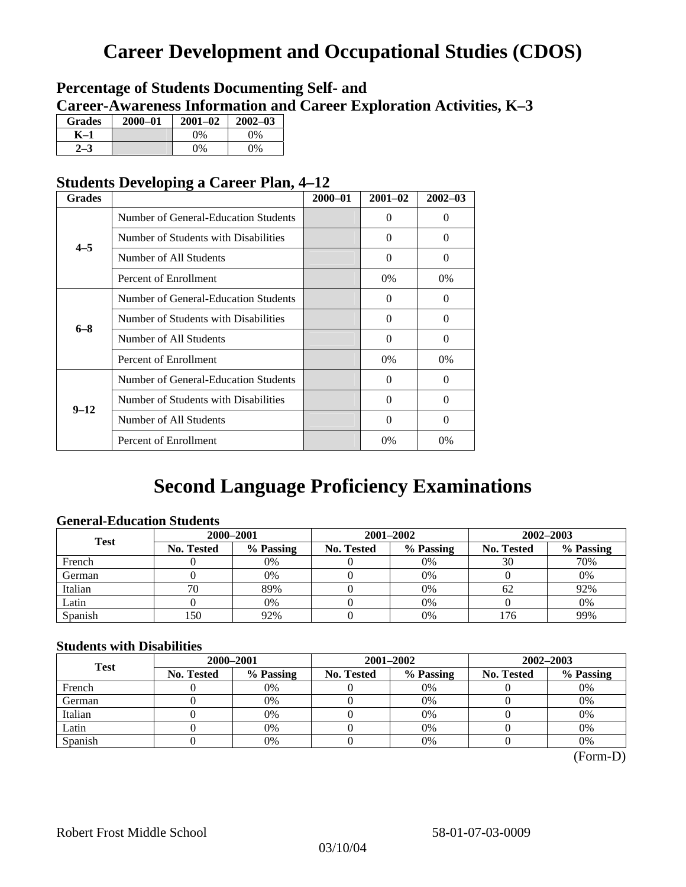# **Career Development and Occupational Studies (CDOS)**

### **Percentage of Students Documenting Self- and Career-Awareness Information and Career Exploration Activities, K–3**

| <b>Grades</b> | 2000-01 | $2001 - 02$ | $2002 - 03$ |
|---------------|---------|-------------|-------------|
| K–1           |         | $0\%$       | $0\%$       |
|               |         | $0\%$       | $0\%$       |

### **Students Developing a Career Plan, 4–12**

| <b>Grades</b> |                                      | $2000 - 01$ | $2001 - 02$ | $2002 - 03$ |
|---------------|--------------------------------------|-------------|-------------|-------------|
| $4 - 5$       | Number of General-Education Students |             | 0           | $\Omega$    |
|               | Number of Students with Disabilities |             | 0           | $\Omega$    |
|               | Number of All Students               |             | 0           | $\Omega$    |
|               | Percent of Enrollment                |             | 0%          | $0\%$       |
| $6 - 8$       | Number of General-Education Students |             | 0           | 0           |
|               | Number of Students with Disabilities |             | $\Omega$    | $\Omega$    |
|               | Number of All Students               |             | $\theta$    | $\Omega$    |
|               | Percent of Enrollment                |             | $0\%$       | $0\%$       |
|               | Number of General-Education Students |             | 0           | $\Omega$    |
| $9 - 12$      | Number of Students with Disabilities |             | 0           | $\Omega$    |
|               | Number of All Students               |             | $\Omega$    | $\Omega$    |
|               | Percent of Enrollment                |             | $0\%$       | 0%          |

# **Second Language Proficiency Examinations**

### **General-Education Students**

| <b>Test</b> | 2000-2001         |           |                   | 2001-2002 | 2002-2003         |           |  |
|-------------|-------------------|-----------|-------------------|-----------|-------------------|-----------|--|
|             | <b>No. Tested</b> | % Passing | <b>No. Tested</b> | % Passing | <b>No. Tested</b> | % Passing |  |
| French      |                   | 0%        |                   | $0\%$     | 30                | 70%       |  |
| German      |                   | 0%        |                   | 0%        |                   | 0%        |  |
| Italian     | 70                | 89%       |                   | 0%        | 62                | 92%       |  |
| Latin       |                   | 0%        |                   | 0%        |                   | 0%        |  |
| Spanish     | 150               | 92%       |                   | 0%        | 76                | 99%       |  |

### **Students with Disabilities**

| <b>Test</b> | 2000-2001         |           |            | 2001-2002 | 2002-2003         |           |  |
|-------------|-------------------|-----------|------------|-----------|-------------------|-----------|--|
|             | <b>No. Tested</b> | % Passing | No. Tested | % Passing | <b>No. Tested</b> | % Passing |  |
| French      |                   | 0%        |            | 0%        |                   | 0%        |  |
| German      |                   | 0%        |            | 0%        |                   | 0%        |  |
| Italian     |                   | 0%        |            | 0%        |                   | 0%        |  |
| Latin       |                   | 0%        |            | $0\%$     |                   | 0%        |  |
| Spanish     |                   | 0%        |            | 0%        |                   | 0%        |  |

 <sup>(</sup>Form-D)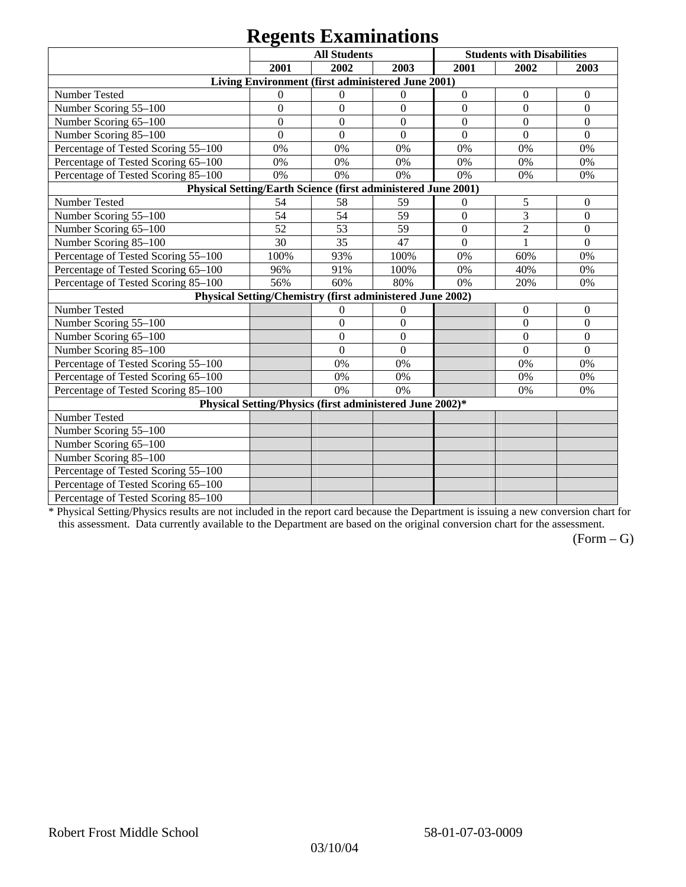# **Regents Examinations**

|                                                               | 8°-<br><b>All Students</b> |                                                           |                  |                  | <b>Students with Disabilities</b> |                  |
|---------------------------------------------------------------|----------------------------|-----------------------------------------------------------|------------------|------------------|-----------------------------------|------------------|
|                                                               | 2001                       | 2002                                                      | 2003             | 2001             | 2002                              | 2003             |
|                                                               |                            | Living Environment (first administered June 2001)         |                  |                  |                                   |                  |
| Number Tested                                                 | $\mathbf{0}$               | $\theta$                                                  | $\mathbf{0}$     | $\boldsymbol{0}$ | $\boldsymbol{0}$                  | $\boldsymbol{0}$ |
| Number Scoring 55-100                                         | $\overline{0}$             | $\overline{0}$                                            | $\overline{0}$   | $\overline{0}$   | $\overline{0}$                    | $\overline{0}$   |
| Number Scoring 65-100                                         | $\mathbf{0}$               | $\overline{0}$                                            | $\overline{0}$   | $\overline{0}$   | $\overline{0}$                    | $\mathbf{0}$     |
| Number Scoring 85-100                                         | $\mathbf{0}$               | $\overline{0}$                                            | $\boldsymbol{0}$ | $\boldsymbol{0}$ | $\boldsymbol{0}$                  | $\boldsymbol{0}$ |
| Percentage of Tested Scoring 55-100                           | 0%                         | 0%                                                        | 0%               | 0%               | 0%                                | 0%               |
| Percentage of Tested Scoring 65-100                           | 0%                         | 0%                                                        | 0%               | 0%               | 0%                                | 0%               |
| Percentage of Tested Scoring 85-100                           | 0%                         | 0%                                                        | 0%               | 0%               | 0%                                | 0%               |
| Physical Setting/Earth Science (first administered June 2001) |                            |                                                           |                  |                  |                                   |                  |
| Number Tested                                                 | 54                         | 58                                                        | 59               | $\boldsymbol{0}$ | 5                                 | $\mathbf{0}$     |
| Number Scoring 55-100                                         | 54                         | 54                                                        | 59               | $\overline{0}$   | $\overline{3}$                    | $\overline{0}$   |
| Number Scoring 65-100                                         | 52                         | 53                                                        | 59               | $\overline{0}$   | $\overline{2}$                    | $\overline{0}$   |
| Number Scoring 85-100                                         | 30                         | 35                                                        | 47               | $\mathbf{0}$     | 1                                 | $\boldsymbol{0}$ |
| Percentage of Tested Scoring 55-100                           | 100%                       | 93%                                                       | 100%             | 0%               | 60%                               | 0%               |
| Percentage of Tested Scoring 65-100                           | 96%                        | 91%                                                       | 100%             | 0%               | 40%                               | 0%               |
| Percentage of Tested Scoring 85-100                           | 56%                        | 60%                                                       | 80%              | 0%               | 20%                               | 0%               |
|                                                               |                            | Physical Setting/Chemistry (first administered June 2002) |                  |                  |                                   |                  |
| Number Tested                                                 |                            | $\mathbf{0}$                                              | $\mathbf{0}$     |                  | $\theta$                          | $\theta$         |
| Number Scoring 55-100                                         |                            | $\overline{0}$                                            | $\mathbf{0}$     |                  | $\theta$                          | $\overline{0}$   |
| Number Scoring 65-100                                         |                            | $\mathbf{0}$                                              | $\Omega$         |                  | $\theta$                          | $\theta$         |
| Number Scoring 85-100                                         |                            | $\overline{0}$                                            | $\mathbf{0}$     |                  | $\overline{0}$                    | $\mathbf{0}$     |
| Percentage of Tested Scoring 55-100                           |                            | 0%                                                        | 0%               |                  | 0%                                | 0%               |
| Percentage of Tested Scoring 65-100                           |                            | 0%                                                        | 0%               |                  | 0%                                | 0%               |
| Percentage of Tested Scoring 85-100                           |                            | 0%                                                        | 0%               |                  | 0%                                | 0%               |
|                                                               |                            | Physical Setting/Physics (first administered June 2002)*  |                  |                  |                                   |                  |
| Number Tested                                                 |                            |                                                           |                  |                  |                                   |                  |
| Number Scoring 55-100                                         |                            |                                                           |                  |                  |                                   |                  |
| Number Scoring 65-100                                         |                            |                                                           |                  |                  |                                   |                  |
| Number Scoring 85-100                                         |                            |                                                           |                  |                  |                                   |                  |
| Percentage of Tested Scoring 55-100                           |                            |                                                           |                  |                  |                                   |                  |
| Percentage of Tested Scoring 65-100                           |                            |                                                           |                  |                  |                                   |                  |
| Percentage of Tested Scoring 85-100                           |                            |                                                           |                  |                  |                                   |                  |

\* Physical Setting/Physics results are not included in the report card because the Department is issuing a new conversion chart for this assessment. Data currently available to the Department are based on the original conversion chart for the assessment.

 $(Form - G)$